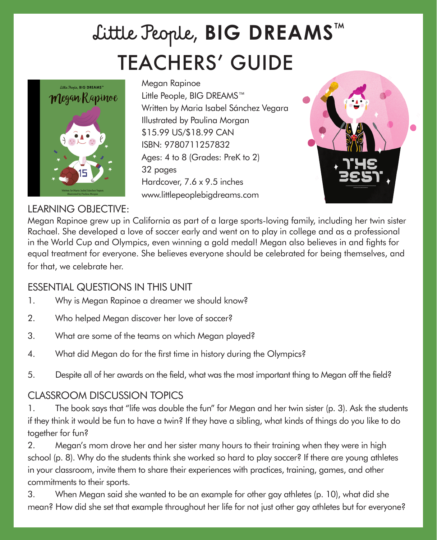# TEACHERS' GUIDE Little People, **BIG DREAMS**™



Megan Rapinoe Little People, BIG DREAMS™ Written by Maria Isabel Sánchez Vegara Illustrated by Paulina Morgan \$15.99 US/\$18.99 CAN ISBN: 9780711257832 Ages: 4 to 8 (Grades: PreK to 2) 32 pages Hardcover, 7.6 x 9.5 inches www.littlepeoplebigdreams.com



### LEARNING OBJECTIVE:

Megan Rapinoe grew up in California as part of a large sports-loving family, including her twin sister Rachael. She developed a love of soccer early and went on to play in college and as a professional in the World Cup and Olympics, even winning a gold medal! Megan also believes in and fights for equal treatment for everyone. She believes everyone should be celebrated for being themselves, and for that, we celebrate her.

### ESSENTIAL QUESTIONS IN THIS UNIT

- 1. Why is Megan Rapinoe a dreamer we should know?
- 2. Who helped Megan discover her love of soccer?
- 3. What are some of the teams on which Megan played?
- 4. What did Megan do for the first time in history during the Olympics?
- 5. Despite all of her awards on the field, what was the most important thing to Megan off the field?

### CLASSROOM DISCUSSION TOPICS

1. The book says that "life was double the fun" for Megan and her twin sister (p. 3). Ask the students if they think it would be fun to have a twin? If they have a sibling, what kinds of things do you like to do together for fun?

2. Megan's mom drove her and her sister many hours to their training when they were in high school (p. 8). Why do the students think she worked so hard to play soccer? If there are young athletes in your classroom, invite them to share their experiences with practices, training, games, and other commitments to their sports.

3. When Megan said she wanted to be an example for other gay athletes (p. 10), what did she mean? How did she set that example throughout her life for not just other gay athletes but for everyone?